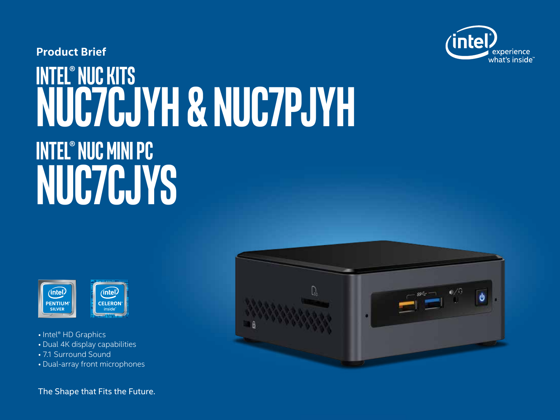

## **Intel® NUC Kits NUC7CJYH & NUC7PJYH Intel® NUC minipc NUC7CJys Product Brief**



- Intel® HD Graphics
- Dual 4K display capabilities
- 7.1 Surround Sound
- Dual-array front microphones

The Shape that Fits the Future.

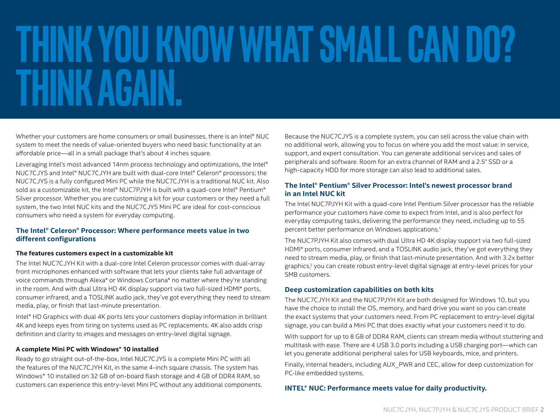# **thinkyouknow what small can do? Think again.**

Whether your customers are home consumers or small businesses, there is an Intel® NUC system to meet the needs of value-oriented buyers who need basic functionality at an affordable price—all in a small package that's about 4 inches square.

Leveraging Intel's most advanced 14nm process technology and optimizations, the Intel® NUC7CJYS and Intel® NUC7CJYH are built with dual-core Intel® Celeron® processors; the NUC7CJYS is a fully configured Mini PC while the NUC7CJYH is a traditional NUC kit. Also sold as a customizable kit, the Intel® NUC7PJYH is built with a quad-core Intel® Pentium® Silver processor. Whether you are customizing a kit for your customers or they need a full system, the two Intel NUC kits and the NUC7CJYS Mini PC are ideal for cost-conscious consumers who need a system for everyday computing.

#### **The Intel® Celeron® Processor: Where performance meets value in two different configurations**

#### **The features customers expect in a customizable kit**

The Intel NUC7CJYH Kit with a dual-core Intel Celeron processor comes with dual-array front microphones enhanced with software that lets your clients take full advantage of voice commands through Alexa\* or Windows Cortana\* no matter where they're standing in the room. And with dual Ultra HD 4K display support via two full-sized HDMI\* ports, consumer infrared, and a TOSLINK audio jack, they've got everything they need to stream media, play, or finish that last-minute presentation.

Intel® HD Graphics with dual 4K ports lets your customers display information in brilliant 4K and keeps eyes from tiring on systems used as PC replacements. 4K also adds crisp definition and clarity to images and messages on entry-level digital signage.

#### **A complete Mini PC with Windows® 10 installed**

Ready to go straight out-of-the-box, Intel NUC7CJYS is a complete Mini PC with all the features of the NUC7CJYH Kit, in the same 4-inch square chassis. The system has Windows® 10 installed on 32 GB of on-board flash storage and 4 GB of DDR4 RAM, so customers can experience this entry-level Mini PC without any additional components. Because the NUC7CJYS is a complete system, you can sell across the value chain with no additional work, allowing you to focus on where you add the most value: in service, support, and expert consultation. You can generate additional services and sales of peripherals and software. Room for an extra channel of RAM and a 2.5" SSD or a high-capacity HDD for more storage can also lead to additional sales.

#### **The Intel® Pentium® Silver Processor: Intel's newest processor brand in an Intel NUC kit**

The Intel NUC7PJYH Kit with a quad-core Intel Pentium Silver processor has the reliable performance your customers have come to expect from Intel, and is also perfect for everyday computing tasks, delivering the performance they need, including up to 55 percent better performance on Windows applications.1

The NUC7PJYH Kit also comes with dual Ultra HD 4K display support via two full-sized HDMI\* ports, consumer infrared, and a TOSLINK audio jack, they've got everything they need to stream media, play, or finish that last-minute presentation. And with 3.2x better graphics,<sup>2</sup> you can create robust entry-level digital signage at entry-level prices for your SMB customers.

#### **Deep customization capabilities on both kits**

The NUC7CJYH Kit and the NUC7PJYH Kit are both designed for Windows 10, but you have the choice to install the OS, memory, and hard drive you want so you can create the exact systems that your customers need. From PC replacement to entry-level digital signage, you can build a Mini PC that does exactly what your customers need it to do.

With support for up to 8 GB of DDR4 RAM, clients can stream media without stuttering and multitask with ease. There are 4 USB 3.0 ports including a USB charging port—which can let you generate additional peripheral sales for USB keyboards, mice, and printers.

Finally, internal headers, including AUX\_PWR and CEC, allow for deep customization for PC-like embedded systems.

#### **INTEL® NUC: Performance meets value for daily productivity.**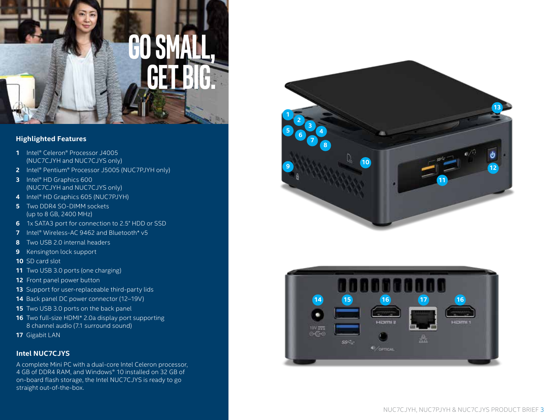

#### **Highlighted Features**

- Intel® Celeron® Processor J4005 (NUC7CJYH and NUC7CJYS only)
- Intel® Pentium® Processor J5005 (NUC7PJYH only)
- Intel® HD Graphics 600 (NUC7CJYH and NUC7CJYS only)
- Intel® HD Graphics 605 (NUC7PJYH)
- Two DDR4 SO-DIMM sockets (up to 8 GB, 2400 MHz)
- 1x SATA3 port for connection to 2.5" HDD or SSD
- Intel® Wireless-AC 9462 and Bluetooth\* v5
- Two USB 2.0 internal headers
- Kensington lock support
- SD card slot
- Two USB 3.0 ports (one charging)
- Front panel power button
- Support for user-replaceable third-party lids
- Back panel DC power connector (12–19V)
- 15 Two USB 3.0 ports on the back panel
- Two full-size HDMI\* 2.0a display port supporting 8 channel audio (7.1 surround sound)
- Gigabit LAN

#### **Intel NUC7CJYS**

A complete Mini PC with a dual-core Intel Celeron processor, 4 GB of DDR4 RAM, and Windows® 10 installed on 32 GB of on-board flash storage, the Intel NUC7CJYS is ready to go straight out-of-the-box.